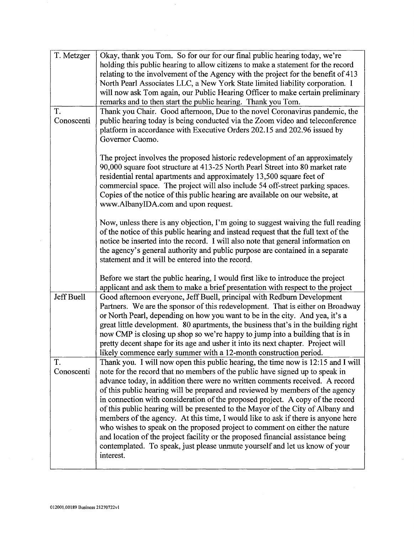| T. Metzger<br>T.<br>Conoscenti | Okay, thank you Tom. So for our for our final public hearing today, we're<br>holding this public hearing to allow citizens to make a statement for the record<br>relating to the involvement of the Agency with the project for the benefit of 413<br>North Pearl Associates LLC, a New York State limited liability corporation. I<br>will now ask Tom again, our Public Hearing Officer to make certain preliminary<br>remarks and to then start the public hearing. Thank you Tom.<br>Thank you Chair. Good afternoon, Due to the novel Coronavirus pandemic, the<br>public hearing today is being conducted via the Zoom video and teleconference<br>platform in accordance with Executive Orders 202.15 and 202.96 issued by<br>Governor Cuomo.                                                                                                     |
|--------------------------------|----------------------------------------------------------------------------------------------------------------------------------------------------------------------------------------------------------------------------------------------------------------------------------------------------------------------------------------------------------------------------------------------------------------------------------------------------------------------------------------------------------------------------------------------------------------------------------------------------------------------------------------------------------------------------------------------------------------------------------------------------------------------------------------------------------------------------------------------------------|
|                                | The project involves the proposed historic redevelopment of an approximately<br>90,000 square foot structure at 413-25 North Pearl Street into 80 market rate<br>residential rental apartments and approximately 13,500 square feet of<br>commercial space. The project will also include 54 off-street parking spaces.<br>Copies of the notice of this public hearing are available on our website, at<br>www.AlbanyIDA.com and upon request.                                                                                                                                                                                                                                                                                                                                                                                                           |
|                                | Now, unless there is any objection, I'm going to suggest waiving the full reading<br>of the notice of this public hearing and instead request that the full text of the<br>notice be inserted into the record. I will also note that general information on<br>the agency's general authority and public purpose are contained in a separate<br>statement and it will be entered into the record.                                                                                                                                                                                                                                                                                                                                                                                                                                                        |
|                                | Before we start the public hearing, I would first like to introduce the project<br>applicant and ask them to make a brief presentation with respect to the project                                                                                                                                                                                                                                                                                                                                                                                                                                                                                                                                                                                                                                                                                       |
| Jeff Buell                     | Good afternoon everyone, Jeff Buell, principal with Redburn Development<br>Partners. We are the sponsor of this redevelopment. That is either on Broadway<br>or North Pearl, depending on how you want to be in the city. And yea, it's a<br>great little development. 80 apartments, the business that's in the building right<br>now CMP is closing up shop so we're happy to jump into a building that is in<br>pretty decent shape for its age and usher it into its next chapter. Project will<br>likely commence early summer with a 12-month construction period.                                                                                                                                                                                                                                                                                 |
| T.<br>Conoscenti               | Thank you. I will now open this public hearing, the time now is 12:15 and I will<br>note for the record that no members of the public have signed up to speak in<br>advance today, in addition there were no written comments received. A record<br>of this public hearing will be prepared and reviewed by members of the agency<br>in connection with consideration of the proposed project. A copy of the record<br>of this public hearing will be presented to the Mayor of the City of Albany and<br>members of the agency. At this time, I would like to ask if there is anyone here<br>who wishes to speak on the proposed project to comment on either the nature<br>and location of the project facility or the proposed financial assistance being<br>contemplated. To speak, just please unmute yourself and let us know of your<br>interest. |

 $\hat{\boldsymbol{\epsilon}}$